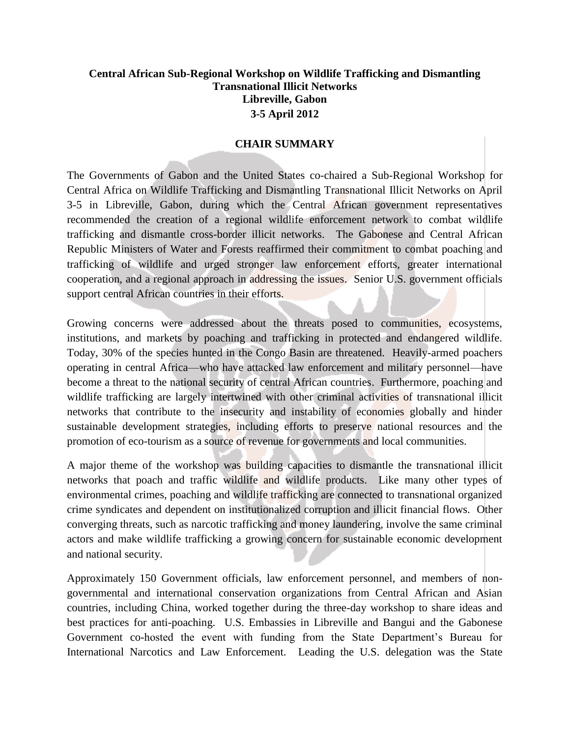## **Central African Sub-Regional Workshop on Wildlife Trafficking and Dismantling Transnational Illicit Networks Libreville, Gabon 3-5 April 2012**

## **CHAIR SUMMARY**

The Governments of Gabon and the United States co-chaired a Sub-Regional Workshop for Central Africa on Wildlife Trafficking and Dismantling Transnational Illicit Networks on April 3-5 in Libreville, Gabon, during which the Central African government representatives recommended the creation of a regional wildlife enforcement network to combat wildlife trafficking and dismantle cross-border illicit networks. The Gabonese and Central African Republic Ministers of Water and Forests reaffirmed their commitment to combat poaching and trafficking of wildlife and urged stronger law enforcement efforts, greater international cooperation, and a regional approach in addressing the issues. Senior U.S. government officials support central African countries in their efforts.

Growing concerns were addressed about the threats posed to communities, ecosystems, institutions, and markets by poaching and trafficking in protected and endangered wildlife. Today, 30% of the species hunted in the Congo Basin are threatened. Heavily-armed poachers operating in central Africa—who have attacked law enforcement and military personnel—have become a threat to the national security of central African countries. Furthermore, poaching and wildlife trafficking are largely intertwined with other criminal activities of transnational illicit networks that contribute to the insecurity and instability of economies globally and hinder sustainable development strategies, including efforts to preserve national resources and the promotion of eco-tourism as a source of revenue for governments and local communities.

A major theme of the workshop was building capacities to dismantle the transnational illicit networks that poach and traffic wildlife and wildlife products. Like many other types of environmental crimes, poaching and wildlife trafficking are connected to transnational organized crime syndicates and dependent on institutionalized corruption and illicit financial flows. Other converging threats, such as narcotic trafficking and money laundering, involve the same criminal actors and make wildlife trafficking a growing concern for sustainable economic development and national security.

Approximately 150 Government officials, law enforcement personnel, and members of nongovernmental and international conservation organizations from Central African and Asian countries, including China, worked together during the three-day workshop to share ideas and best practices for anti-poaching. U.S. Embassies in Libreville and Bangui and the Gabonese Government co-hosted the event with funding from the State Department's Bureau for International Narcotics and Law Enforcement. Leading the U.S. delegation was the State